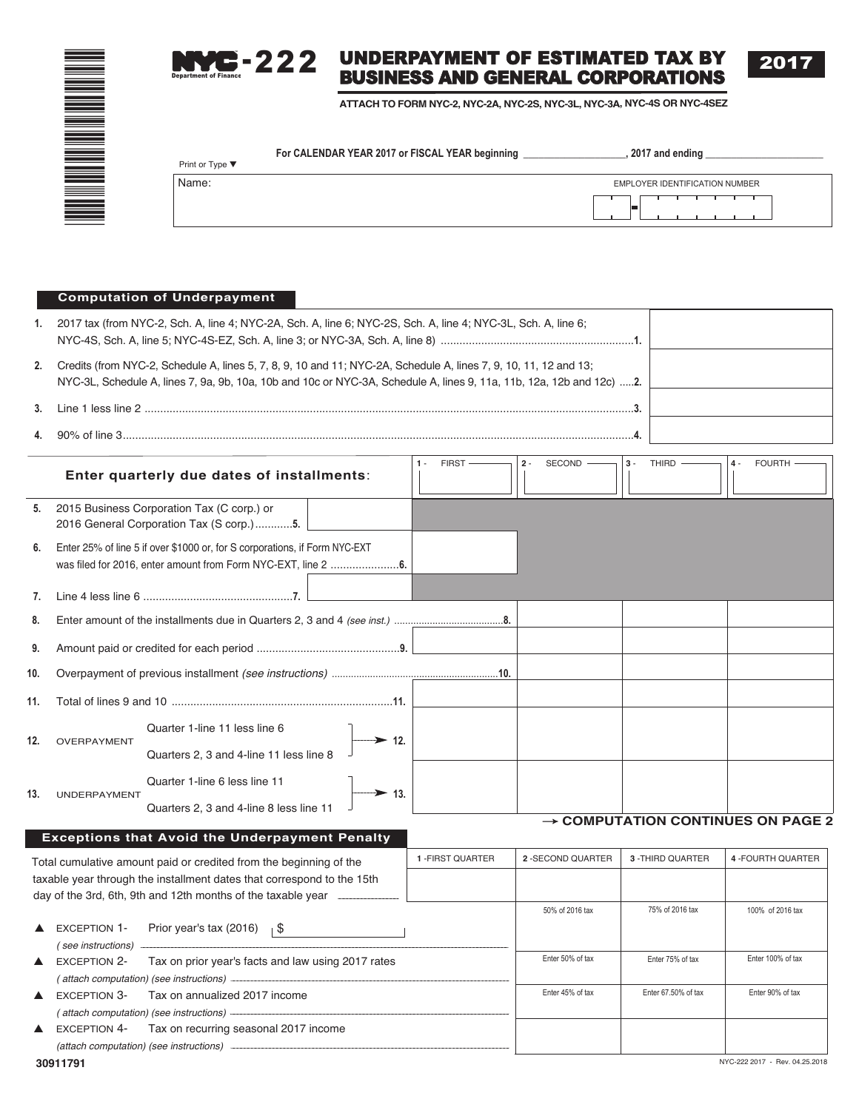

#### UNDERPAYMENT OF ESTIMATED TAX BY BUSINESS AND GENERAL CORPORATIONS Department of Finance  $3 - 222$

**ATTACH TO FORM NYC-2, NYC-2A, NYC-2S, NYC-3L, NYC-3A, NYC-4S OR NYC-4SEZ**

| Print or Type $\blacktriangledown$ | For CALENDAR YEAR 2017 or FISCAL YEAR beginning | 2017 and ending                |
|------------------------------------|-------------------------------------------------|--------------------------------|
| Name:                              |                                                 | EMPLOYER IDENTIFICATION NUMBER |
|                                    |                                                 |                                |

### **Computation of Underpayment**

| 1. | 2017 tax (from NYC-2, Sch. A, line 4; NYC-2A, Sch. A, line 6; NYC-2S, Sch. A, line 4; NYC-3L, Sch. A, line 6;                                                                                                                            |  |
|----|------------------------------------------------------------------------------------------------------------------------------------------------------------------------------------------------------------------------------------------|--|
| 2. | Credits (from NYC-2, Schedule A, lines 5, 7, 8, 9, 10 and 11; NYC-2A, Schedule A, lines 7, 9, 10, 11, 12 and 13;<br>NYC-3L, Schedule A, lines 7, 9a, 9b, 10a, 10b and 10c or NYC-3A, Schedule A, lines 9, 11a, 11b, 12a, 12b and 12c) 2. |  |
|    |                                                                                                                                                                                                                                          |  |
|    | $90\%$ of line 3.                                                                                                                                                                                                                        |  |

| Enter quarterly due dates of installments:                             |                                                                  |                                                                            | FIRST-<br>$1 -$ | $2 -$<br>SECOND - | THIRD $-$<br>$3 -$ | <b>FOURTH</b><br>$4 -$ |                                               |
|------------------------------------------------------------------------|------------------------------------------------------------------|----------------------------------------------------------------------------|-----------------|-------------------|--------------------|------------------------|-----------------------------------------------|
| 5.                                                                     | 2015 Business Corporation Tax (C corp.) or                       | 2016 General Corporation Tax (S corp.)5.                                   |                 |                   |                    |                        |                                               |
| 6.                                                                     |                                                                  | Enter 25% of line 5 if over \$1000 or, for S corporations, if Form NYC-EXT |                 |                   |                    |                        |                                               |
| 7.                                                                     |                                                                  |                                                                            |                 |                   |                    |                        |                                               |
| 8.                                                                     |                                                                  |                                                                            |                 |                   |                    |                        |                                               |
| 9.                                                                     |                                                                  |                                                                            |                 |                   |                    |                        |                                               |
| 10.                                                                    |                                                                  |                                                                            |                 |                   |                    |                        |                                               |
| 11.                                                                    |                                                                  |                                                                            |                 |                   |                    |                        |                                               |
| 12.                                                                    | OVERPAYMENT                                                      | Quarter 1-line 11 less line 6<br>Quarters 2, 3 and 4-line 11 less line 8   | $\geq$ 12.      |                   |                    |                        |                                               |
| 13.                                                                    | <b>UNDERPAYMENT</b>                                              | Quarter 1-line 6 less line 11<br>Quarters 2, 3 and 4-line 8 less line 11   | $\geq$ 13.      |                   |                    |                        |                                               |
|                                                                        |                                                                  |                                                                            |                 |                   |                    |                        | $\rightarrow$ COMPUTATION CONTINUES ON PAGE 2 |
|                                                                        |                                                                  | <b>Exceptions that Avoid the Underpayment Penalty</b>                      |                 |                   |                    |                        |                                               |
|                                                                        |                                                                  | Total cumulative amount paid or credited from the beginning of the         |                 | 1-FIRST QUARTER   | 2 - SECOND QUARTER | 3 - THIRD QUARTER      | 4 - FOURTH QUARTER                            |
| taxable year through the installment dates that correspond to the 15th |                                                                  |                                                                            |                 |                   |                    |                        |                                               |
|                                                                        |                                                                  | day of the 3rd, 6th, 9th and 12th months of the taxable year ___           |                 |                   | 50% of 2016 tax    | 75% of 2016 tax        | 100% of 2016 tax                              |
|                                                                        | <b>EXCEPTION 1-</b><br>(see instructions)                        | Prior year's tax (2016) $\frac{1}{3}$                                      |                 |                   |                    |                        |                                               |
| $\blacktriangle$                                                       | <b>EXCEPTION 2-</b>                                              | Tax on prior year's facts and law using 2017 rates                         |                 |                   | Enter 50% of tax   | Enter 75% of tax       | Enter 100% of tax                             |
|                                                                        | (attach computation) (see instructions) -<br><b>EXCEPTION 3-</b> | Tax on annualized 2017 income                                              |                 |                   | Enter 45% of tax   | Enter 67.50% of tax    | Enter 90% of tax                              |
|                                                                        | (attach computation) (see instructions) -                        |                                                                            |                 |                   |                    |                        |                                               |
|                                                                        | <b>EXCEPTION 4-</b>                                              | Tax on recurring seasonal 2017 income                                      |                 |                   |                    |                        |                                               |
|                                                                        | (attach computation) (see instructions) -                        |                                                                            |                 |                   |                    |                        |                                               |
|                                                                        |                                                                  |                                                                            |                 |                   |                    |                        |                                               |

2017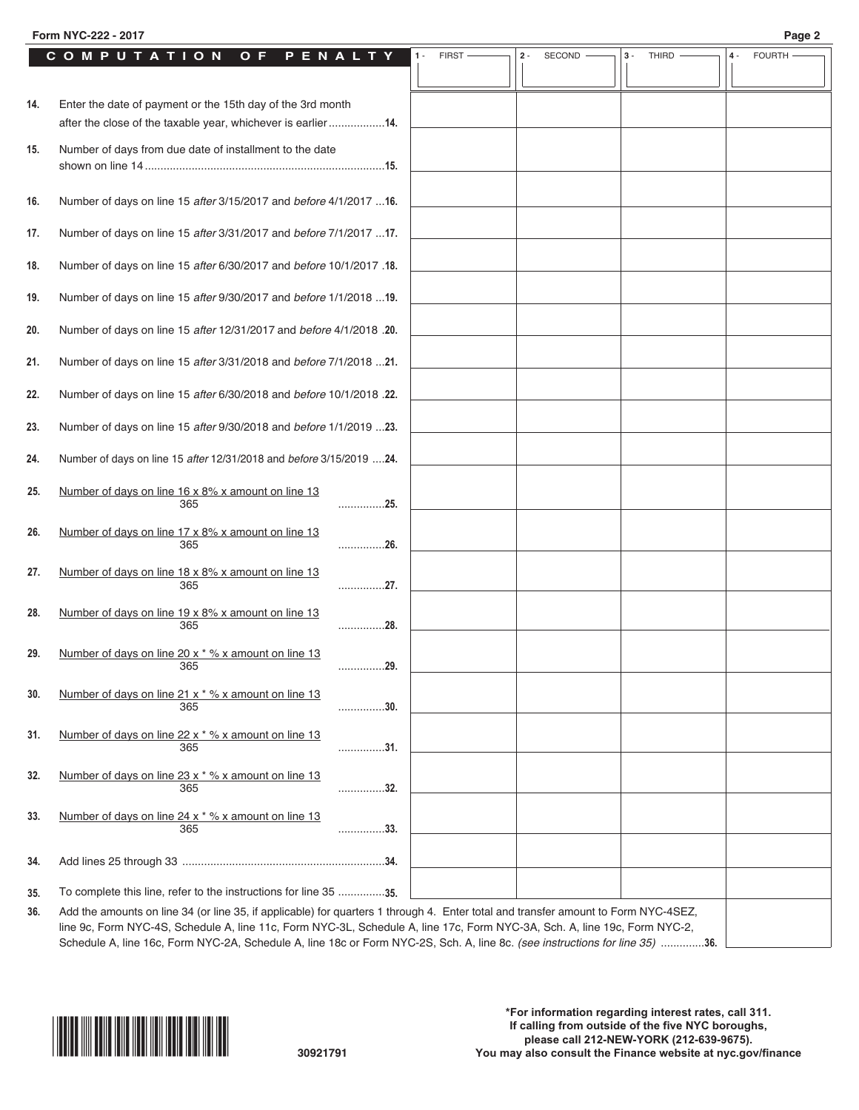|     | COMPUTATION<br>O F<br>PENALTY                                                                                                      | <b>FIRST</b> | $2 -$ | SECOND | $3 -$<br><b>THIRD</b> | $4 -$ | <b>FOURTH</b> |
|-----|------------------------------------------------------------------------------------------------------------------------------------|--------------|-------|--------|-----------------------|-------|---------------|
|     |                                                                                                                                    |              |       |        |                       |       |               |
| 14. | Enter the date of payment or the 15th day of the 3rd month<br>after the close of the taxable year, whichever is earlier14.         |              |       |        |                       |       |               |
| 15. | Number of days from due date of installment to the date                                                                            |              |       |        |                       |       |               |
| 16. | Number of days on line 15 after 3/15/2017 and before 4/1/2017  16.                                                                 |              |       |        |                       |       |               |
| 17. | Number of days on line 15 after 3/31/2017 and before 7/1/2017  17.                                                                 |              |       |        |                       |       |               |
| 18. | Number of days on line 15 after 6/30/2017 and before 10/1/2017 .18.                                                                |              |       |        |                       |       |               |
| 19. | Number of days on line 15 after 9/30/2017 and before 1/1/2018  19.                                                                 |              |       |        |                       |       |               |
| 20. | Number of days on line 15 after 12/31/2017 and before 4/1/2018 .20.                                                                |              |       |        |                       |       |               |
| 21. | Number of days on line 15 after 3/31/2018 and before 7/1/2018 21.                                                                  |              |       |        |                       |       |               |
| 22. | Number of days on line 15 after 6/30/2018 and before 10/1/2018 .22.                                                                |              |       |        |                       |       |               |
| 23. | Number of days on line 15 after 9/30/2018 and before 1/1/2019 23.                                                                  |              |       |        |                       |       |               |
| 24. | Number of days on line 15 after 12/31/2018 and before 3/15/2019  24.                                                               |              |       |        |                       |       |               |
| 25. | Number of days on line 16 x 8% x amount on line 13<br>. 25.<br>365                                                                 |              |       |        |                       |       |               |
| 26. | Number of days on line 17 x 8% x amount on line 13<br>365<br>26.                                                                   |              |       |        |                       |       |               |
| 27. | Number of days on line 18 x 8% x amount on line 13<br>. 27.<br>365                                                                 |              |       |        |                       |       |               |
| 28. | Number of days on line 19 x 8% x amount on line 13<br>365<br>. 28.                                                                 |              |       |        |                       |       |               |
| 29. | Number of days on line 20 x * % x amount on line 13<br>365<br>29.                                                                  |              |       |        |                       |       |               |
| 30. | Number of days on line 21 x * % x amount on line 13<br>365<br>. 30.                                                                |              |       |        |                       |       |               |
| 31. | Number of days on line 22 x * % x amount on line 13<br>. 31.<br>365                                                                |              |       |        |                       |       |               |
| 32. | Number of days on line 23 x * % x amount on line 13<br>. 32.<br>365                                                                |              |       |        |                       |       |               |
| 33. | Number of days on line 24 x * % x amount on line 13<br>365<br>. 33.                                                                |              |       |        |                       |       |               |
| 34. |                                                                                                                                    |              |       |        |                       |       |               |
| 35. | To complete this line, refer to the instructions for line 35 35.                                                                   |              |       |        |                       |       |               |
| 36. | Add the amounts on line 34 (or line 35, if applicable) for quarters 1 through 4. Enter total and transfer amount to Form NYC-4SEZ, |              |       |        |                       |       |               |

line 9c, Form NYC-4S, Schedule A, line 11c, Form NYC-3L, Schedule A, line 17c, Form NYC-3A, Sch. A, line 19c, Form NYC-2, Schedule A, line 16c, Form NYC-2A, Schedule A, line 18c or Form NYC-2S, Sch. A, line 8c. *(see instructions for line 35)* ..............**36.**

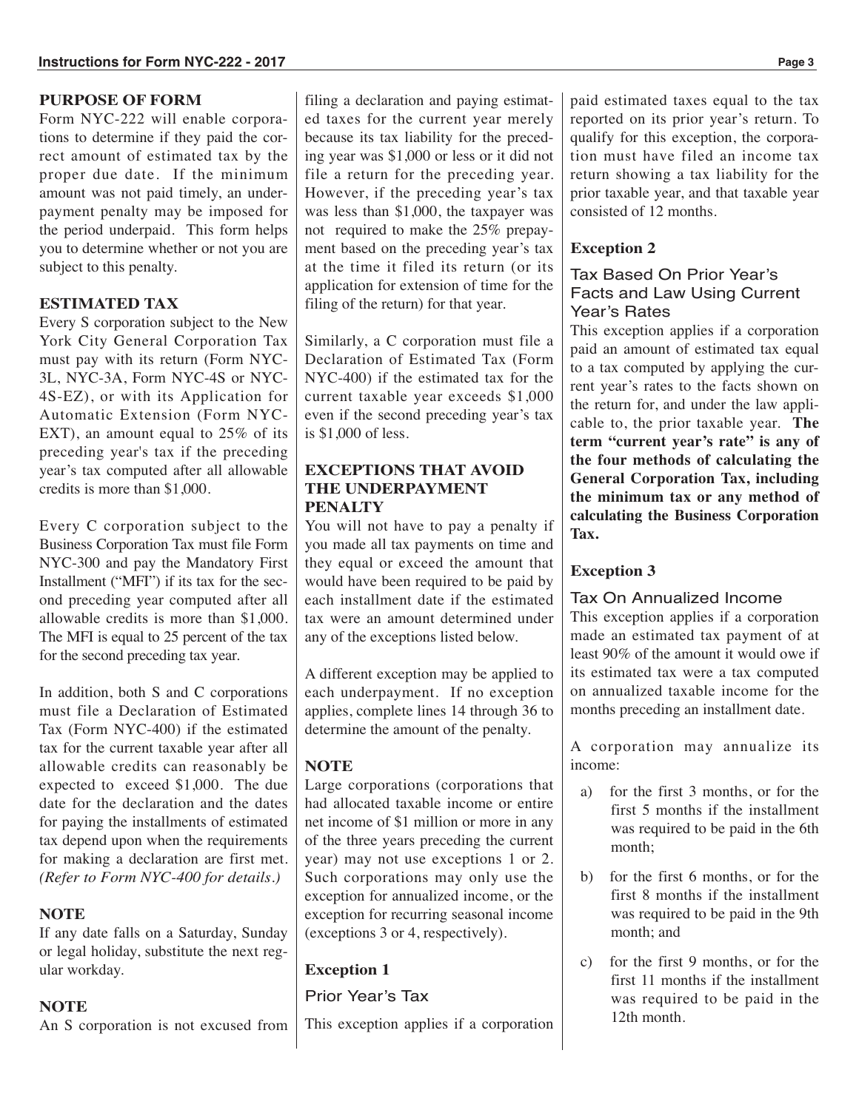# **PURPOSE OF FORM**

Form NYC-222 will enable corporations to determine if they paid the correct amount of estimated tax by the proper due date. If the minimum amount was not paid timely, an underpayment penalty may be imposed for the period underpaid. This form helps you to determine whether or not you are subject to this penalty.

# **ESTIMATED TAX**

Every S corporation subject to the New York City General Corporation Tax must pay with its return (Form NYC-3L, NYC-3A, Form NYC-4S or NYC-4S-EZ), or with its Application for Automatic Extension (Form NYC-EXT), an amount equal to 25% of its preceding year's tax if the preceding year's tax computed after all allowable credits is more than \$1,000.

Every C corporation subject to the Business Corporation Tax must file Form NYC-300 and pay the Mandatory First Installment ("MFI") if its tax for the second preceding year computed after all allowable credits is more than \$1,000. The MFI is equal to 25 percent of the tax for the second preceding tax year.

In addition, both S and C corporations must file a Declaration of Estimated Tax (Form NYC-400) if the estimated tax for the current taxable year after all allowable credits can reasonably be expected to exceed \$1,000. The due date for the declaration and the dates for paying the installments of estimated tax depend upon when the requirements for making a declaration are first met. *(Refer to Form NYC-400 for details.)*

# **NOTE**

If any date falls on a Saturday, Sunday or legal holiday, substitute the next regular workday.

### **NOTE**

An S corporation is not excused from

filing a declaration and paying estimated taxes for the current year merely because its tax liability for the preceding year was \$1,000 or less or it did not file a return for the preceding year. However, if the preceding year's tax was less than \$1,000, the taxpayer was not required to make the 25% prepayment based on the preceding year's tax at the time it filed its return (or its application for extension of time for the filing of the return) for that year.

Similarly, a C corporation must file a Declaration of Estimated Tax (Form NYC-400) if the estimated tax for the current taxable year exceeds \$1,000 even if the second preceding year's tax is \$1,000 of less.

# **EXCEPTIONS THAT AVOID THE UNDERPAYMENT PENALTY**

You will not have to pay a penalty if you made all tax payments on time and they equal or exceed the amount that would have been required to be paid by each installment date if the estimated tax were an amount determined under any of the exceptions listed below.

A different exception may be applied to each underpayment. If no exception applies, complete lines 14 through 36 to determine the amount of the penalty.

# **NOTE**

Large corporations (corporations that had allocated taxable income or entire net income of \$1 million or more in any of the three years preceding the current year) may not use exceptions 1 or 2. Such corporations may only use the exception for annualized income, or the exception for recurring seasonal income (exceptions 3 or 4, respectively).

# **Exception 1**

# Prior Year's Tax

This exception applies if a corporation

paid estimated taxes equal to the tax reported on its prior year's return. To qualify for this exception, the corporation must have filed an income tax return showing a tax liability for the prior taxable year, and that taxable year consisted of 12 months.

# **Exception 2**

# Tax Based On Prior Year's Facts and Law Using Current Year's Rates

This exception applies if a corporation paid an amount of estimated tax equal to a tax computed by applying the current year's rates to the facts shown on the return for, and under the law applicable to, the prior taxable year. **The term "current year's rate" is any of the four methods of calculating the General Corporation Tax, including the minimum tax or any method of calculating the Business Corporation Tax.**

# **Exception 3**

# Tax On Annualized Income

This exception applies if a corporation made an estimated tax payment of at least 90% of the amount it would owe if its estimated tax were a tax computed on annualized taxable income for the months preceding an installment date.

A corporation may annualize its income:

- a) for the first 3 months, or for the first 5 months if the installment was required to be paid in the 6th month;
- b) for the first 6 months, or for the first 8 months if the installment was required to be paid in the 9th month; and
- c) for the first 9 months, or for the first 11 months if the installment was required to be paid in the 12th month.